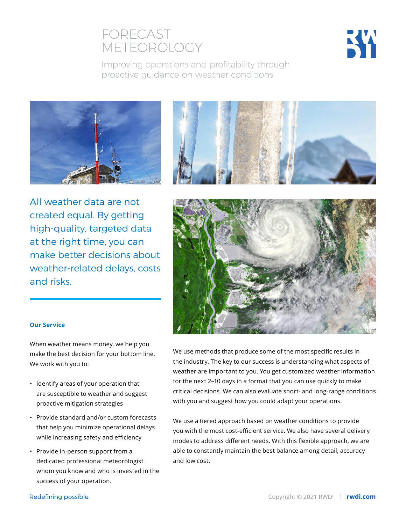## FORECAST METEOROLOGY



Improving operations and profitability through proactive guidance on weather conditions





All weather data are not created equal. By getting high-quality, targeted data at the right time, you can make better decisions about weather-related delays, costs and risks.



#### **Our Service**

When weather means money, we help you make the best decision for your bottom line. We work with you to:

- Identify areas of your operation that are susceptible to weather and suggest proactive mitigation strategies
- Provide standard and/or custom forecasts that help you minimize operational delays while increasing safety and efficiency
- Provide in-person support from a dedicated professional meteorologist whom you know and who is invested in the success of your operation.

We use methods that produce some of the most specific results in the industry. The key to our success is understanding what aspects of weather are important to you. You get customized weather information for the next 2–10 days in a format that you can use quickly to make critical decisions. We can also evaluate short- and long-range conditions with you and suggest how you could adapt your operations.

We use a tiered approach based on weather conditions to provide you with the most cost-efficient service. We also have several delivery modes to address different needs. With this flexible approach, we are able to constantly maintain the best balance among detail, accuracy and low cost.